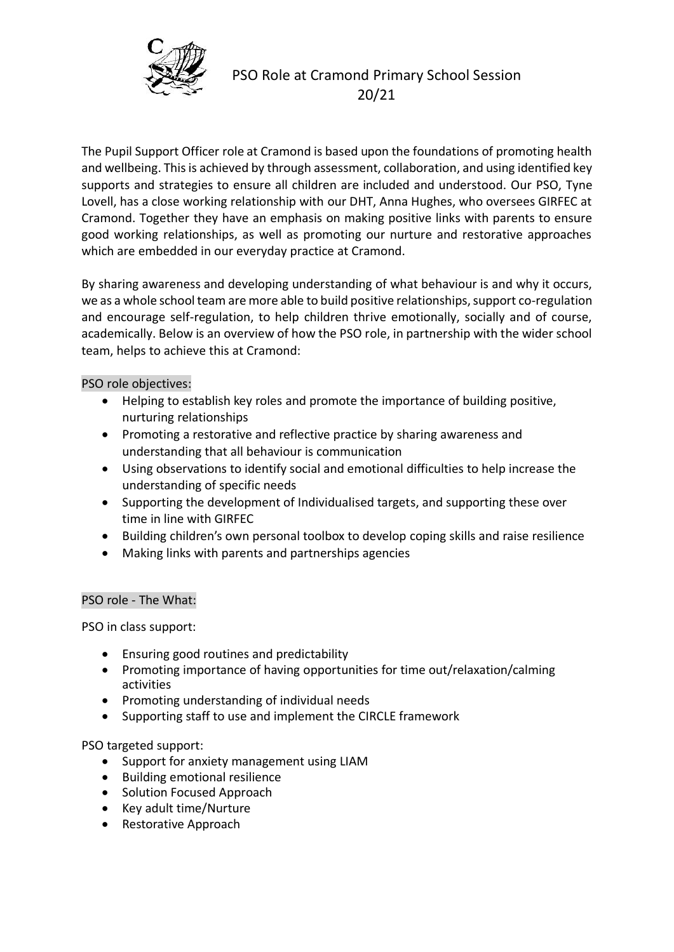

# PSO Role at Cramond Primary School Session 20/21

The Pupil Support Officer role at Cramond is based upon the foundations of promoting health and wellbeing. This is achieved by through assessment, collaboration, and using identified key supports and strategies to ensure all children are included and understood. Our PSO, Tyne Lovell, has a close working relationship with our DHT, Anna Hughes, who oversees GIRFEC at Cramond. Together they have an emphasis on making positive links with parents to ensure good working relationships, as well as promoting our nurture and restorative approaches which are embedded in our everyday practice at Cramond.

By sharing awareness and developing understanding of what behaviour is and why it occurs, we as a whole school team are more able to build positive relationships, support co-regulation and encourage self-regulation, to help children thrive emotionally, socially and of course, academically. Below is an overview of how the PSO role, in partnership with the wider school team, helps to achieve this at Cramond:

PSO role objectives:

- Helping to establish key roles and promote the importance of building positive, nurturing relationships
- Promoting a restorative and reflective practice by sharing awareness and understanding that all behaviour is communication
- Using observations to identify social and emotional difficulties to help increase the understanding of specific needs
- Supporting the development of Individualised targets, and supporting these over time in line with GIRFEC
- Building children's own personal toolbox to develop coping skills and raise resilience
- Making links with parents and partnerships agencies

## PSO role - The What:

PSO in class support:

- Ensuring good routines and predictability
- Promoting importance of having opportunities for time out/relaxation/calming activities
- Promoting understanding of individual needs
- Supporting staff to use and implement the CIRCLE framework

## PSO targeted support:

- Support for anxiety management using LIAM
- Building emotional resilience
- Solution Focused Approach
- Key adult time/Nurture
- Restorative Approach